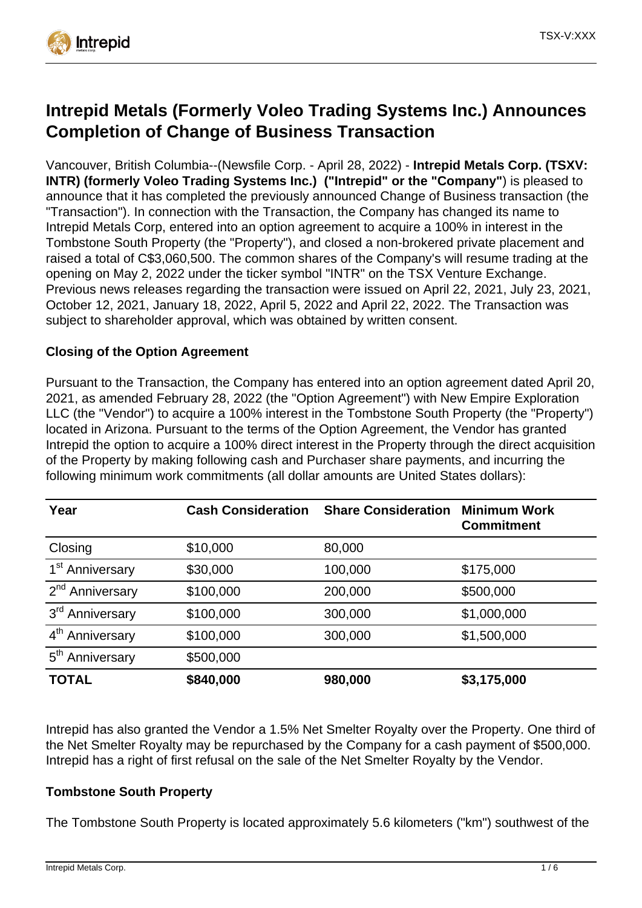

# **Intrepid Metals (Formerly Voleo Trading Systems Inc.) Announces Completion of Change of Business Transaction**

Vancouver, British Columbia--(Newsfile Corp. - April 28, 2022) - **Intrepid Metals Corp. (TSXV: INTR) (formerly Voleo Trading Systems Inc.) ("Intrepid" or the "Company"**) is pleased to announce that it has completed the previously announced Change of Business transaction (the "Transaction"). In connection with the Transaction, the Company has changed its name to Intrepid Metals Corp, entered into an option agreement to acquire a 100% in interest in the Tombstone South Property (the "Property"), and closed a non-brokered private placement and raised a total of C\$3,060,500. The common shares of the Company's will resume trading at the opening on May 2, 2022 under the ticker symbol "INTR" on the TSX Venture Exchange. Previous news releases regarding the transaction were issued on April 22, 2021, July 23, 2021, October 12, 2021, January 18, 2022, April 5, 2022 and April 22, 2022. The Transaction was subject to shareholder approval, which was obtained by written consent.

## **Closing of the Option Agreement**

Pursuant to the Transaction, the Company has entered into an option agreement dated April 20, 2021, as amended February 28, 2022 (the "Option Agreement") with New Empire Exploration LLC (the "Vendor") to acquire a 100% interest in the Tombstone South Property (the "Property") located in Arizona. Pursuant to the terms of the Option Agreement, the Vendor has granted Intrepid the option to acquire a 100% direct interest in the Property through the direct acquisition of the Property by making following cash and Purchaser share payments, and incurring the following minimum work commitments (all dollar amounts are United States dollars):

| Year                        | <b>Cash Consideration</b> | <b>Share Consideration</b> | <b>Minimum Work</b><br><b>Commitment</b> |
|-----------------------------|---------------------------|----------------------------|------------------------------------------|
| Closing                     | \$10,000                  | 80,000                     |                                          |
| 1 <sup>st</sup> Anniversary | \$30,000                  | 100,000                    | \$175,000                                |
| 2 <sup>nd</sup> Anniversary | \$100,000                 | 200,000                    | \$500,000                                |
| 3 <sup>rd</sup> Anniversary | \$100,000                 | 300,000                    | \$1,000,000                              |
| 4 <sup>th</sup> Anniversary | \$100,000                 | 300,000                    | \$1,500,000                              |
| 5 <sup>th</sup> Anniversary | \$500,000                 |                            |                                          |
| <b>TOTAL</b>                | \$840,000                 | 980,000                    | \$3,175,000                              |

Intrepid has also granted the Vendor a 1.5% Net Smelter Royalty over the Property. One third of the Net Smelter Royalty may be repurchased by the Company for a cash payment of \$500,000. Intrepid has a right of first refusal on the sale of the Net Smelter Royalty by the Vendor.

#### **Tombstone South Property**

The Tombstone South Property is located approximately 5.6 kilometers ("km") southwest of the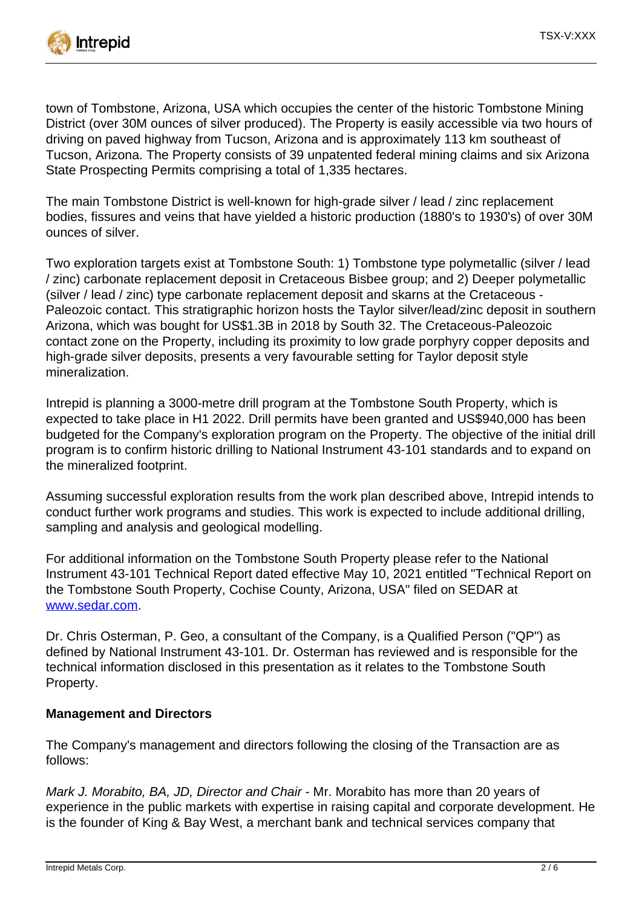

town of Tombstone, Arizona, USA which occupies the center of the historic Tombstone Mining District (over 30M ounces of silver produced). The Property is easily accessible via two hours of driving on paved highway from Tucson, Arizona and is approximately 113 km southeast of Tucson, Arizona. The Property consists of 39 unpatented federal mining claims and six Arizona State Prospecting Permits comprising a total of 1,335 hectares.

The main Tombstone District is well-known for high-grade silver / lead / zinc replacement bodies, fissures and veins that have yielded a historic production (1880's to 1930's) of over 30M ounces of silver.

Two exploration targets exist at Tombstone South: 1) Tombstone type polymetallic (silver / lead / zinc) carbonate replacement deposit in Cretaceous Bisbee group; and 2) Deeper polymetallic (silver / lead / zinc) type carbonate replacement deposit and skarns at the Cretaceous - Paleozoic contact. This stratigraphic horizon hosts the Taylor silver/lead/zinc deposit in southern Arizona, which was bought for US\$1.3B in 2018 by South 32. The Cretaceous-Paleozoic contact zone on the Property, including its proximity to low grade porphyry copper deposits and high-grade silver deposits, presents a very favourable setting for Taylor deposit style mineralization.

Intrepid is planning a 3000-metre drill program at the Tombstone South Property, which is expected to take place in H1 2022. Drill permits have been granted and US\$940,000 has been budgeted for the Company's exploration program on the Property. The objective of the initial drill program is to confirm historic drilling to National Instrument 43-101 standards and to expand on the mineralized footprint.

Assuming successful exploration results from the work plan described above, Intrepid intends to conduct further work programs and studies. This work is expected to include additional drilling, sampling and analysis and geological modelling.

For additional information on the Tombstone South Property please refer to the National Instrument 43-101 Technical Report dated effective May 10, 2021 entitled "Technical Report on the Tombstone South Property, Cochise County, Arizona, USA" filed on SEDAR at [www.sedar.com.](https://www.newsfilecorp.com/redirect/8AZMEFQ5nA)

Dr. Chris Osterman, P. Geo, a consultant of the Company, is a Qualified Person ("QP") as defined by National Instrument 43-101. Dr. Osterman has reviewed and is responsible for the technical information disclosed in this presentation as it relates to the Tombstone South Property.

# **Management and Directors**

The Company's management and directors following the closing of the Transaction are as follows:

Mark J. Morabito, BA, JD, Director and Chair - Mr. Morabito has more than 20 years of experience in the public markets with expertise in raising capital and corporate development. He is the founder of King & Bay West, a merchant bank and technical services company that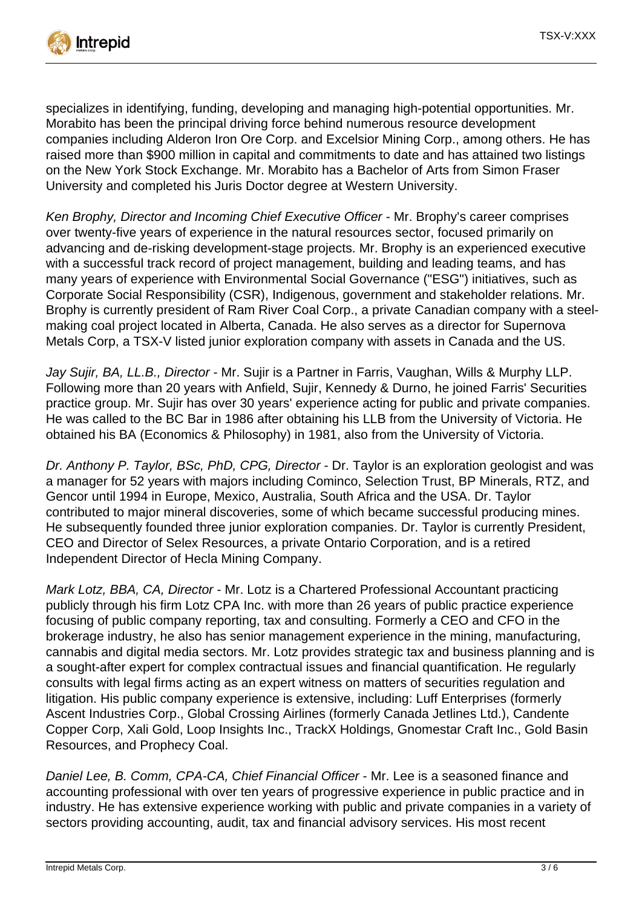

specializes in identifying, funding, developing and managing high-potential opportunities. Mr. Morabito has been the principal driving force behind numerous resource development companies including Alderon Iron Ore Corp. and Excelsior Mining Corp., among others. He has raised more than \$900 million in capital and commitments to date and has attained two listings on the New York Stock Exchange. Mr. Morabito has a Bachelor of Arts from Simon Fraser University and completed his Juris Doctor degree at Western University.

Ken Brophy, Director and Incoming Chief Executive Officer - Mr. Brophy's career comprises over twenty-five years of experience in the natural resources sector, focused primarily on advancing and de-risking development-stage projects. Mr. Brophy is an experienced executive with a successful track record of project management, building and leading teams, and has many years of experience with Environmental Social Governance ("ESG") initiatives, such as Corporate Social Responsibility (CSR), Indigenous, government and stakeholder relations. Mr. Brophy is currently president of Ram River Coal Corp., a private Canadian company with a steelmaking coal project located in Alberta, Canada. He also serves as a director for Supernova Metals Corp, a TSX-V listed junior exploration company with assets in Canada and the US.

Jay Sujir, BA, LL.B., Director - Mr. Sujir is a Partner in Farris, Vaughan, Wills & Murphy LLP. Following more than 20 years with Anfield, Sujir, Kennedy & Durno, he joined Farris' Securities practice group. Mr. Sujir has over 30 years' experience acting for public and private companies. He was called to the BC Bar in 1986 after obtaining his LLB from the University of Victoria. He obtained his BA (Economics & Philosophy) in 1981, also from the University of Victoria.

Dr. Anthony P. Taylor, BSc, PhD, CPG, Director - Dr. Taylor is an exploration geologist and was a manager for 52 years with majors including Cominco, Selection Trust, BP Minerals, RTZ, and Gencor until 1994 in Europe, Mexico, Australia, South Africa and the USA. Dr. Taylor contributed to major mineral discoveries, some of which became successful producing mines. He subsequently founded three junior exploration companies. Dr. Taylor is currently President, CEO and Director of Selex Resources, a private Ontario Corporation, and is a retired Independent Director of Hecla Mining Company.

Mark Lotz, BBA, CA, Director - Mr. Lotz is a Chartered Professional Accountant practicing publicly through his firm Lotz CPA Inc. with more than 26 years of public practice experience focusing of public company reporting, tax and consulting. Formerly a CEO and CFO in the brokerage industry, he also has senior management experience in the mining, manufacturing, cannabis and digital media sectors. Mr. Lotz provides strategic tax and business planning and is a sought-after expert for complex contractual issues and financial quantification. He regularly consults with legal firms acting as an expert witness on matters of securities regulation and litigation. His public company experience is extensive, including: Luff Enterprises (formerly Ascent Industries Corp., Global Crossing Airlines (formerly Canada Jetlines Ltd.), Candente Copper Corp, Xali Gold, Loop Insights Inc., TrackX Holdings, Gnomestar Craft Inc., Gold Basin Resources, and Prophecy Coal.

Daniel Lee, B. Comm, CPA-CA, Chief Financial Officer - Mr. Lee is a seasoned finance and accounting professional with over ten years of progressive experience in public practice and in industry. He has extensive experience working with public and private companies in a variety of sectors providing accounting, audit, tax and financial advisory services. His most recent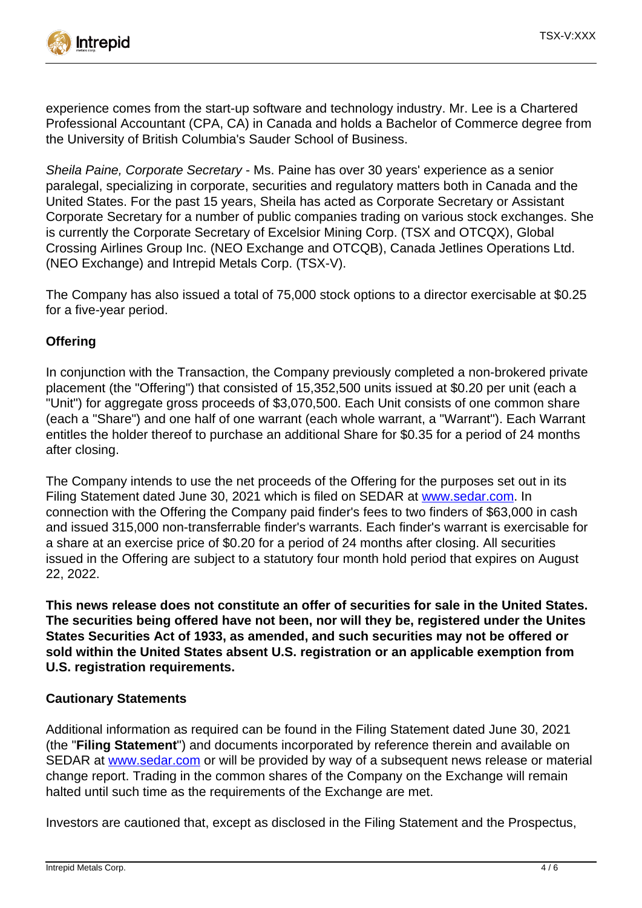

experience comes from the start-up software and technology industry. Mr. Lee is a Chartered Professional Accountant (CPA, CA) in Canada and holds a Bachelor of Commerce degree from the University of British Columbia's Sauder School of Business.

Sheila Paine, Corporate Secretary - Ms. Paine has over 30 years' experience as a senior paralegal, specializing in corporate, securities and regulatory matters both in Canada and the United States. For the past 15 years, Sheila has acted as Corporate Secretary or Assistant Corporate Secretary for a number of public companies trading on various stock exchanges. She is currently the Corporate Secretary of Excelsior Mining Corp. (TSX and OTCQX), Global Crossing Airlines Group Inc. (NEO Exchange and OTCQB), Canada Jetlines Operations Ltd. (NEO Exchange) and Intrepid Metals Corp. (TSX-V).

The Company has also issued a total of 75,000 stock options to a director exercisable at \$0.25 for a five-year period.

# **Offering**

In conjunction with the Transaction, the Company previously completed a non-brokered private placement (the "Offering") that consisted of 15,352,500 units issued at \$0.20 per unit (each a "Unit") for aggregate gross proceeds of \$3,070,500. Each Unit consists of one common share (each a "Share") and one half of one warrant (each whole warrant, a "Warrant"). Each Warrant entitles the holder thereof to purchase an additional Share for \$0.35 for a period of 24 months after closing.

The Company intends to use the net proceeds of the Offering for the purposes set out in its Filing Statement dated June 30, 2021 which is filed on SEDAR at [www.sedar.com.](https://www.newsfilecorp.com/redirect/y3ZW1IJarX) In connection with the Offering the Company paid finder's fees to two finders of \$63,000 in cash and issued 315,000 non-transferrable finder's warrants. Each finder's warrant is exercisable for a share at an exercise price of \$0.20 for a period of 24 months after closing. All securities issued in the Offering are subject to a statutory four month hold period that expires on August 22, 2022.

**This news release does not constitute an offer of securities for sale in the United States. The securities being offered have not been, nor will they be, registered under the Unites States Securities Act of 1933, as amended, and such securities may not be offered or sold within the United States absent U.S. registration or an applicable exemption from U.S. registration requirements.**

#### **Cautionary Statements**

Additional information as required can be found in the Filing Statement dated June 30, 2021 (the "**Filing Statement**") and documents incorporated by reference therein and available on SEDAR at [www.sedar.com](https://www.newsfilecorp.com/redirect/1zZ7McGwqY) or will be provided by way of a subsequent news release or material change report. Trading in the common shares of the Company on the Exchange will remain halted until such time as the requirements of the Exchange are met.

Investors are cautioned that, except as disclosed in the Filing Statement and the Prospectus,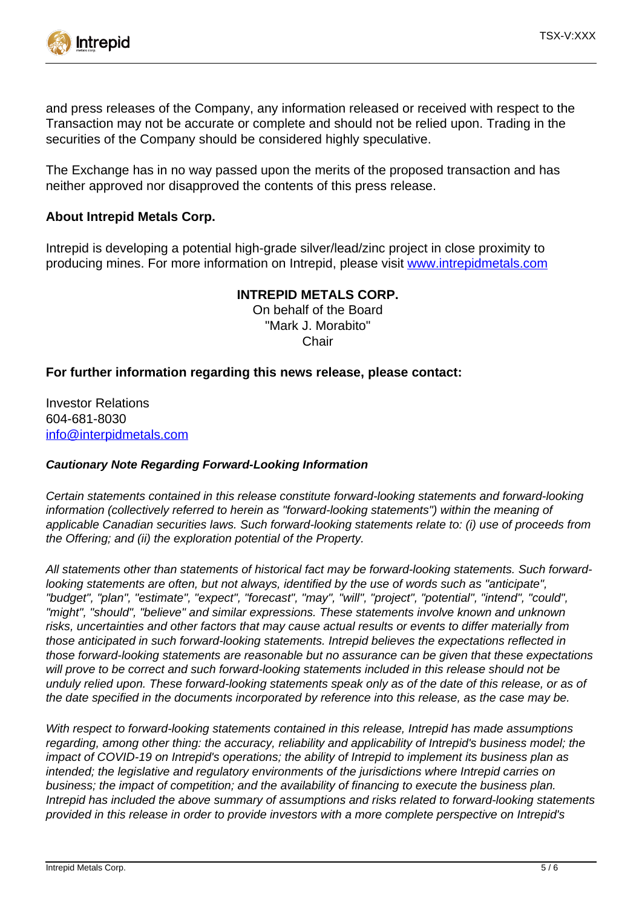

and press releases of the Company, any information released or received with respect to the Transaction may not be accurate or complete and should not be relied upon. Trading in the securities of the Company should be considered highly speculative.

The Exchange has in no way passed upon the merits of the proposed transaction and has neither approved nor disapproved the contents of this press release.

#### **About Intrepid Metals Corp.**

Intrepid is developing a potential high-grade silver/lead/zinc project in close proximity to producing mines. For more information on Intrepid, please visit [www.intrepidmetals.com](https://www.newsfilecorp.com/redirect/ABr5DFQ4nY)

#### **INTREPID METALS CORP.**

On behalf of the Board "Mark J. Morabito" **Chair** 

#### **For further information regarding this news release, please contact:**

Investor Relations 604-681-8030 [info@interpidmetals.com](mailto:info@interpidmetals.com)

#### **Cautionary Note Regarding Forward-Looking Information**

Certain statements contained in this release constitute forward-looking statements and forward-looking information (collectively referred to herein as "forward-looking statements") within the meaning of applicable Canadian securities laws. Such forward-looking statements relate to: (i) use of proceeds from the Offering; and (ii) the exploration potential of the Property.

All statements other than statements of historical fact may be forward-looking statements. Such forwardlooking statements are often, but not always, identified by the use of words such as "anticipate", "budget", "plan", "estimate", "expect", "forecast", "may", "will", "project", "potential", "intend", "could", "might", "should", "believe" and similar expressions. These statements involve known and unknown risks, uncertainties and other factors that may cause actual results or events to differ materially from those anticipated in such forward-looking statements. Intrepid believes the expectations reflected in those forward-looking statements are reasonable but no assurance can be given that these expectations will prove to be correct and such forward-looking statements included in this release should not be unduly relied upon. These forward-looking statements speak only as of the date of this release, or as of the date specified in the documents incorporated by reference into this release, as the case may be.

With respect to forward-looking statements contained in this release, Intrepid has made assumptions regarding, among other thing: the accuracy, reliability and applicability of Intrepid's business model; the impact of COVID-19 on Intrepid's operations; the ability of Intrepid to implement its business plan as intended; the legislative and regulatory environments of the jurisdictions where Intrepid carries on business; the impact of competition; and the availability of financing to execute the business plan. Intrepid has included the above summary of assumptions and risks related to forward-looking statements provided in this release in order to provide investors with a more complete perspective on Intrepid's